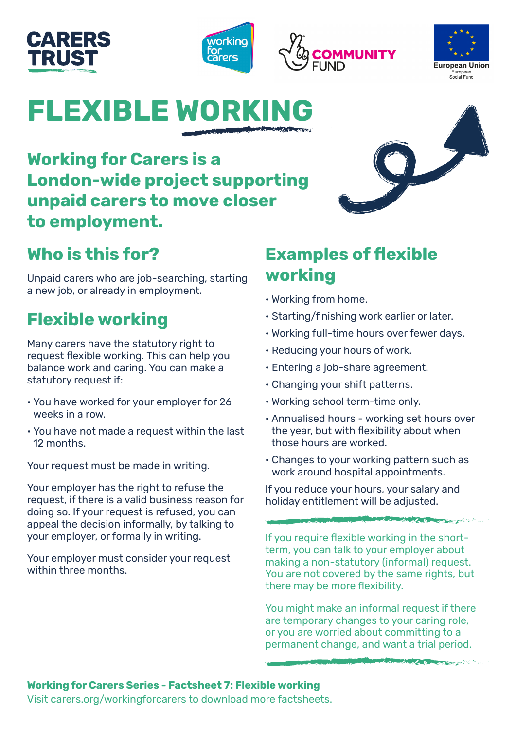# CARERS **TRUST**







# **FLEXIBLE WORK**

**Working for Carers is a London-wide project supporting unpaid carers to move closer to employment.** 

## **Who is this for?**

Unpaid carers who are job-searching, starting a new job, or already in employment.

# **Flexible working**

Many carers have the statutory right to request flexible working. This can help you balance work and caring. You can make a statutory request if:

- You have worked for your employer for 26 weeks in a row.
- You have not made a request within the last 12 months.

Your request must be made in writing.

Your employer has the right to refuse the request, if there is a valid business reason for doing so. If your request is refused, you can appeal the decision informally, by talking to your employer, or formally in writing.

Your employer must consider your request within three months.

### **Examples of flexible working**

- Working from home.
- Starting/finishing work earlier or later.
- Working full-time hours over fewer days.
- Reducing your hours of work.
- Entering a job-share agreement.
- Changing your shift patterns.
- Working school term-time only.
- Annualised hours working set hours over the year, but with flexibility about when those hours are worked.
- Changes to your working pattern such as work around hospital appointments.

If you reduce your hours, your salary and holiday entitlement will be adjusted.

If you require flexible working in the shortterm, you can talk to your employer about making a non-statutory (informal) request. You are not covered by the same rights, but there may be more flexibility.

**COMMUNICATION** 

You might make an informal request if there are temporary changes to your caring role, or you are worried about committing to a permanent change, and want a trial period.

### **Working for Carers Series - Factsheet 7: Flexible working**

Visit carers.org/workingforcarers to download more factsheets.